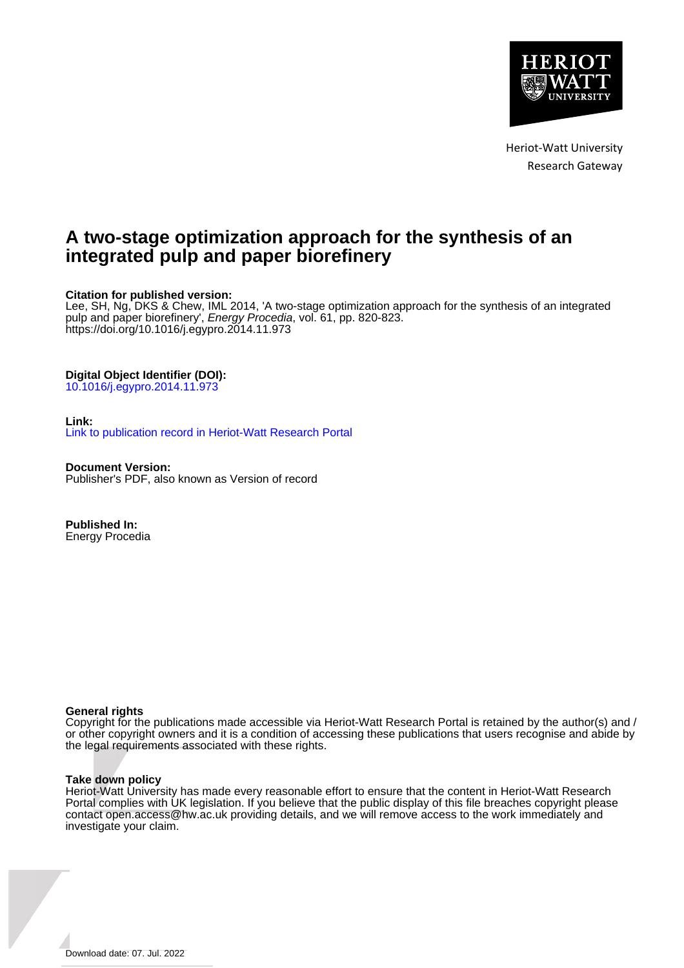

Heriot-Watt University Research Gateway

## **A two-stage optimization approach for the synthesis of an integrated pulp and paper biorefinery**

### **Citation for published version:**

Lee, SH, Ng, DKS & Chew, IML 2014, 'A two-stage optimization approach for the synthesis of an integrated pulp and paper biorefinery', Energy Procedia, vol. 61, pp. 820-823. <https://doi.org/10.1016/j.egypro.2014.11.973>

#### **Digital Object Identifier (DOI):**

[10.1016/j.egypro.2014.11.973](https://doi.org/10.1016/j.egypro.2014.11.973)

#### **Link:**

[Link to publication record in Heriot-Watt Research Portal](https://researchportal.hw.ac.uk/en/publications/c6b94132-fade-4a0c-9434-e3932ee7191c)

**Document Version:** Publisher's PDF, also known as Version of record

**Published In:** Energy Procedia

#### **General rights**

Copyright for the publications made accessible via Heriot-Watt Research Portal is retained by the author(s) and / or other copyright owners and it is a condition of accessing these publications that users recognise and abide by the legal requirements associated with these rights.

#### **Take down policy**

Heriot-Watt University has made every reasonable effort to ensure that the content in Heriot-Watt Research Portal complies with UK legislation. If you believe that the public display of this file breaches copyright please contact open.access@hw.ac.uk providing details, and we will remove access to the work immediately and investigate your claim.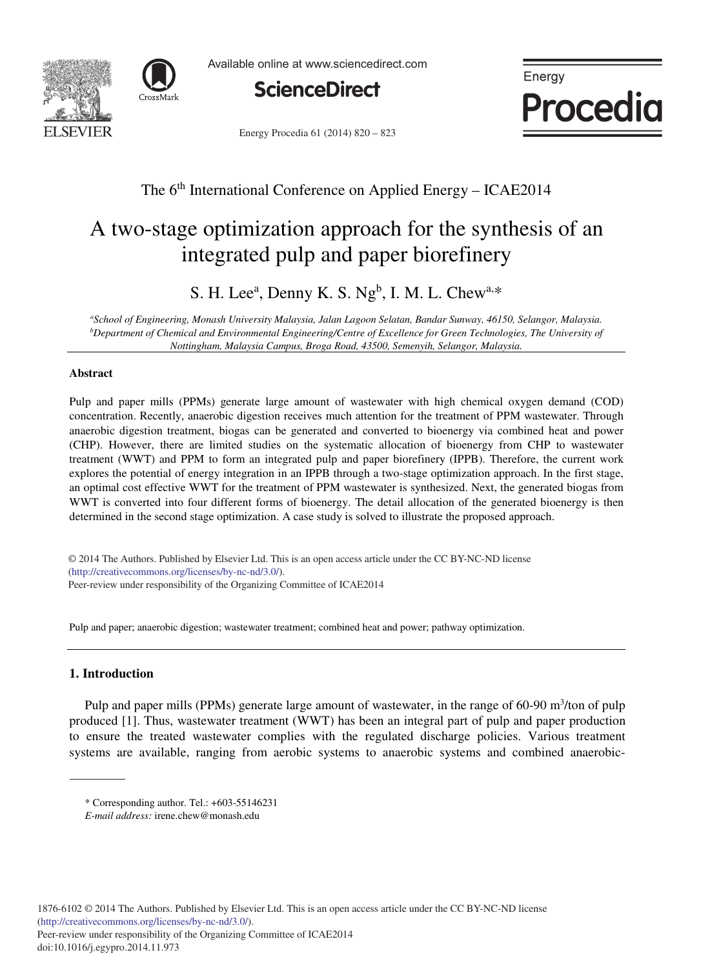



Available online at www.sciencedirect.com



Energy Procedia 61 (2014) 820 - 823



## The 6<sup>th</sup> International Conference on Applied Energy – ICAE2014

# A two-stage optimization approach for the synthesis of an integrated pulp and paper biorefinery

S. H. Lee<sup>a</sup>, Denny K. S. Ng<sup>b</sup>, I. M. L. Chew<sup>a,\*</sup>

*a School of Engineering, Monash University Malaysia, Jalan Lagoon Selatan, Bandar Sunway, 46150, Selangor, Malaysia. b Department of Chemical and Environmental Engineering/Centre of Excellence for Green Technologies, The University of Nottingham, Malaysia Campus, Broga Road, 43500, Semenyih, Selangor, Malaysia.* 

#### **Abstract**

Pulp and paper mills (PPMs) generate large amount of wastewater with high chemical oxygen demand (COD) concentration. Recently, anaerobic digestion receives much attention for the treatment of PPM wastewater. Through anaerobic digestion treatment, biogas can be generated and converted to bioenergy via combined heat and power (CHP). However, there are limited studies on the systematic allocation of bioenergy from CHP to wastewater treatment (WWT) and PPM to form an integrated pulp and paper biorefinery (IPPB). Therefore, the current work explores the potential of energy integration in an IPPB through a two-stage optimization approach. In the first stage, an optimal cost effective WWT for the treatment of PPM wastewater is synthesized. Next, the generated biogas from WWT is converted into four different forms of bioenergy. The detail allocation of the generated bioenergy is then determined in the second stage optimization. A case study is solved to illustrate the proposed approach.

(http://creativecommons.org/licenses/by-nc-nd/3.0/). Peer-review under responsibility of the Organizing Committee of ICAE2014 © 2014 The Authors. Published by Elsevier Ltd. This is an open access article under the CC BY-NC-ND license

Pulp and paper; anaerobic digestion; wastewater treatment; combined heat and power; pathway optimization.

#### **1. Introduction**

Pulp and paper mills (PPMs) generate large amount of wastewater, in the range of 60-90 m<sup>3</sup>/ton of pulp produced [1]. Thus, wastewater treatment (WWT) has been an integral part of pulp and paper production to ensure the treated wastewater complies with the regulated discharge policies. Various treatment systems are available, ranging from aerobic systems to anaerobic systems and combined anaerobic-

<sup>\*</sup> Corresponding author. Tel.: +603-55146231

*E-mail address:* irene.chew@monash.edu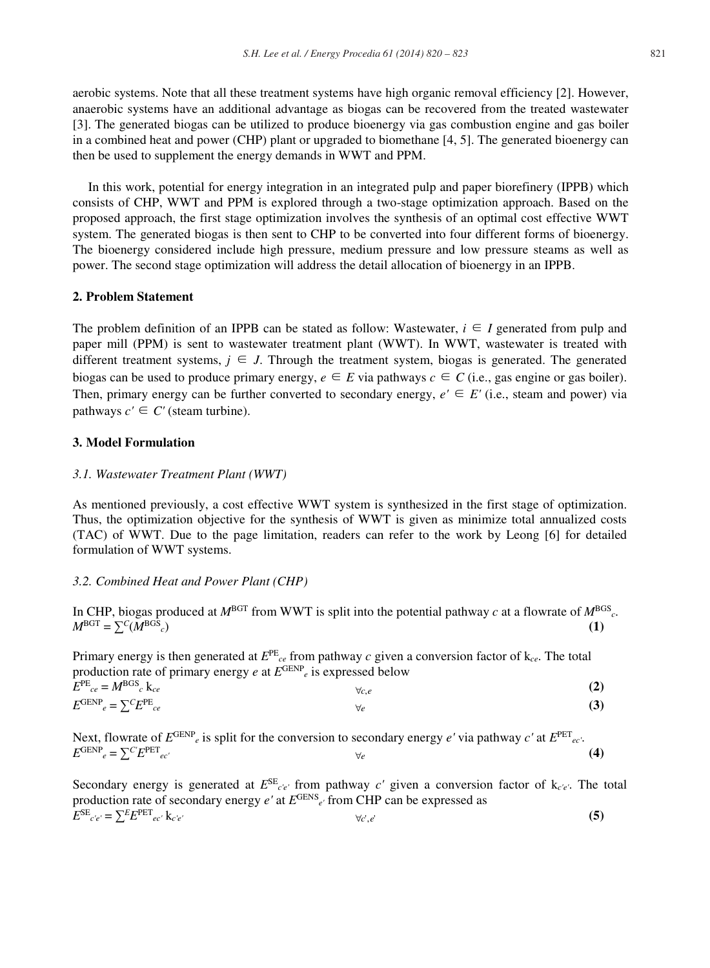aerobic systems. Note that all these treatment systems have high organic removal efficiency [2]. However, anaerobic systems have an additional advantage as biogas can be recovered from the treated wastewater [3]. The generated biogas can be utilized to produce bioenergy via gas combustion engine and gas boiler in a combined heat and power (CHP) plant or upgraded to biomethane [4, 5]. The generated bioenergy can then be used to supplement the energy demands in WWT and PPM.

In this work, potential for energy integration in an integrated pulp and paper biorefinery (IPPB) which consists of CHP, WWT and PPM is explored through a two-stage optimization approach. Based on the proposed approach, the first stage optimization involves the synthesis of an optimal cost effective WWT system. The generated biogas is then sent to CHP to be converted into four different forms of bioenergy. The bioenergy considered include high pressure, medium pressure and low pressure steams as well as power. The second stage optimization will address the detail allocation of bioenergy in an IPPB.

#### **2. Problem Statement**

The problem definition of an IPPB can be stated as follow: Wastewater,  $i \in I$  generated from pulp and paper mill (PPM) is sent to wastewater treatment plant (WWT). In WWT, wastewater is treated with different treatment systems,  $j \in J$ . Through the treatment system, biogas is generated. The generated biogas can be used to produce primary energy,  $e \in E$  via pathways  $c \in C$  (i.e., gas engine or gas boiler). Then, primary energy can be further converted to secondary energy,  $e' \in E'$  (i.e., steam and power) via pathways  $c' \in C'$  (steam turbine).

#### **3. Model Formulation**

#### *3.1. Wastewater Treatment Plant (WWT)*

As mentioned previously, a cost effective WWT system is synthesized in the first stage of optimization. Thus, the optimization objective for the synthesis of WWT is given as minimize total annualized costs (TAC) of WWT. Due to the page limitation, readers can refer to the work by Leong [6] for detailed formulation of WWT systems.

#### *3.2. Combined Heat and Power Plant (CHP)*

In CHP, biogas produced at  $M<sup>BGT</sup>$  from WWT is split into the potential pathway *c* at a flowrate of  $M<sup>BGS</sup><sub>c</sub>$ .  $M<sup>BGT</sup> = \sum C(M<sup>BGS</sup>)$  (1)

Primary energy is then generated at  $E^{PE}_{ce}$  from pathway *c* given a conversion factor of  $k_{ce}$ . The total production rate of primary energy *e* at *E*GENP*e* is expressed below  $E^{PE}_{ce} = M^{BGS}_{c}$  k<sub>ce</sub>  $\forall c.e$  (2)  $E^{\text{GENP}}_e = \sum_{c}^{\infty} E^{\text{PE}}_{ce}$  (3)

Next, flowrate of *E*GENP*e* is split for the conversion to secondary energy *e'* via pathway *c'* at *E*PET*ec'*.  $E^{\text{GENP}}_e = \sum_{c'} E^{\text{PET}}_{ec'}$  (4)

Secondary energy is generated at  $E^{SE}_{c'e'}$  from pathway  $c'$  given a conversion factor of  $k_{c'e'}$ . The total production rate of secondary energy *e'* at *E*GENS*e'* from CHP can be expressed as  $E^{SE}{}_{c'e'} = \sum E^{PET}{}_{ec'} k_{c'e'}$  (5)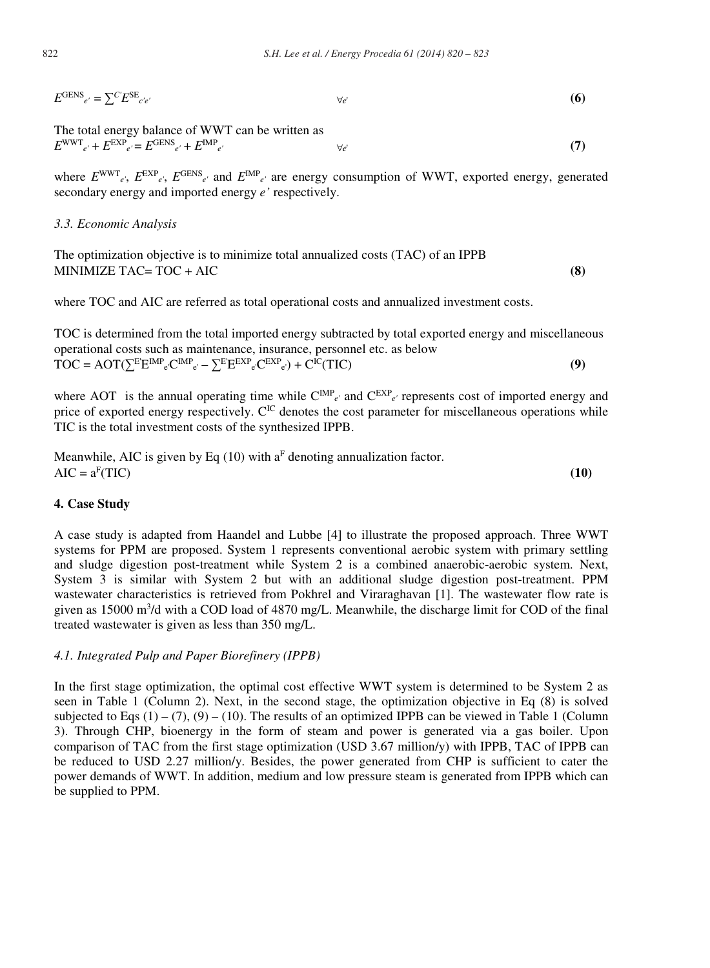$E^{\text{GENS}}_{e'} = \sum_{c'} E^{\text{SE}}_{c'e'}$  (6)

The total energy balance of WWT can be written as  $E^{\text{WWT}}_{e'} + E^{\text{EXP}}_{e'} = E^{\text{GENS}}_{e'} + E^{\text{IMP}}_{e'}$  (7)

where  $E^{WWT}$ <sub>e'</sub>,  $E^{EXP}$ <sub>e'</sub>,  $E^{GENS}$ <sub>e'</sub> and  $E^{MP}$ <sub>e'</sub> are energy consumption of WWT, exported energy, generated secondary energy and imported energy *e'* respectively.

*3.3. Economic Analysis* 

The optimization objective is to minimize total annualized costs (TAC) of an IPPB MINIMIZE TAC= TOC + AIC **(8)**

where TOC and AIC are referred as total operational costs and annualized investment costs.

TOC is determined from the total imported energy subtracted by total exported energy and miscellaneous operational costs such as maintenance, insurance, personnel etc. as below  $\overline{TOC} = \overline{AOT}(\sum E^{EMP}e^{C^{IMP}e'} - \sum E^{EXP}e^{C^{EXP}e}) + C^{IC}(TIC)$  (9)

where AOT is the annual operating time while  $C^{IMP}_{e'}$  and  $C^{EXP}_{e'}$  represents cost of imported energy and price of exported energy respectively.  $C^{IC}$  denotes the cost parameter for miscellaneous operations while TIC is the total investment costs of the synthesized IPPB.

Meanwhile, AIC is given by Eq (10) with 
$$
a^F
$$
 denoting annualization factor.  
AIC =  $a^F(TIC)$  (10)

#### **4. Case Study**

A case study is adapted from Haandel and Lubbe [4] to illustrate the proposed approach. Three WWT systems for PPM are proposed. System 1 represents conventional aerobic system with primary settling and sludge digestion post-treatment while System 2 is a combined anaerobic-aerobic system. Next, System 3 is similar with System 2 but with an additional sludge digestion post-treatment. PPM wastewater characteristics is retrieved from Pokhrel and Viraraghavan [1]. The wastewater flow rate is given as 15000 m<sup>3</sup>/d with a COD load of 4870 mg/L. Meanwhile, the discharge limit for COD of the final treated wastewater is given as less than 350 mg/L.

#### *4.1. Integrated Pulp and Paper Biorefinery (IPPB)*

In the first stage optimization, the optimal cost effective WWT system is determined to be System 2 as seen in Table 1 (Column 2). Next, in the second stage, the optimization objective in Eq (8) is solved subjected to Eqs  $(1) - (7)$ ,  $(9) - (10)$ . The results of an optimized IPPB can be viewed in Table 1 (Column 3). Through CHP, bioenergy in the form of steam and power is generated via a gas boiler. Upon comparison of TAC from the first stage optimization (USD 3.67 million/y) with IPPB, TAC of IPPB can be reduced to USD 2.27 million/y. Besides, the power generated from CHP is sufficient to cater the power demands of WWT. In addition, medium and low pressure steam is generated from IPPB which can be supplied to PPM.